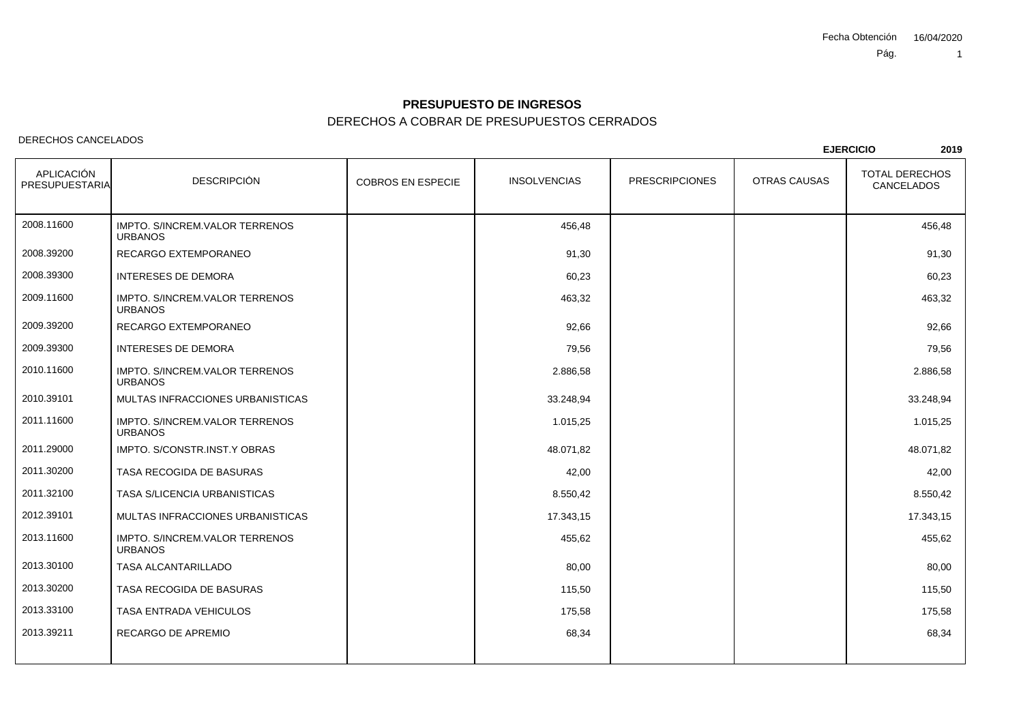### DERECHOS A COBRAR DE PRESUPUESTOS CERRADOS **PRESUPUESTO DE INGRESOS**

#### DERECHOS CANCELADOS

COBROS EN ESPECIE INSOLVENCIAS PRESCRIPCIONES OTRAS CAUSAS APLICACIÓN PRESUPUESTARIAA DESCRIPCIÓN COBROS EN ESPECIE INSOLVENCIAS PRESCRIPCIONES OTRAS CAUSAS CANCELADOS **<sup>2019</sup>** IMPTO. S/INCREM.VALOR TERRENOS 456,48 456,48 URBANOS0 RECARGO EXTEMPORANEO 2008.116002008.39200O 91,30 91,30 2008.39300 INTERESES DE DEMORAA 60,23 60,23 IMPTO. S/INCREM.VALOR TERRENOS 463,32 463,32 URBANOS0 RECARGO EXTEMPORANEO 2009.116002009.39200O 92,66 92,66 2009.39300 INTERESES DE DEMORAA 79,56 79,56 IMPTO. S/INCREM.VALOR TERRENOS 2.886,58 2.886,58 URBANOS2010.116002010.39101 MULTAS INFRACCIONES URBANISTICAS $S$  33.248,94 33.248,94 33.248,94 33.248,94 IMPTO. S/INCREM.VALOR TERRENOS 1.015.25 1.015,25 URBANOS0 IMPTO. S/CONSTR.INST.Y OBRAS 2011.116002011.29000S 48.071,82 48.071,82 2011.30200 TASA RECOGIDA DE BASURAS $42,00$   $42,00$ 2011.32100 TASA S/LICENCIA URBANISTICASS and the set of  $\sim$  8.550,42 and  $\sim$  8.550,42 and  $\sim$  8.550,42 and  $\sim$  8.550,42 2012.39101 MULTAS INFRACCIONES URBANISTICAS $S$  17.343,15 17.343,15 17.343,15 IMPTO. S/INCREM.VALOR TERRENOS 455,62 455,62 URBANOS TASA ALCANTARILLADO2013.116002013.30100O 80,00 80,00 80,00 80,00 80,00 80,00 80,00 80,00 80,00 80,00 80,00 80,00 80,00 80,00 80,00 80,00 80,00 80,00 2013.30200 TASA RECOGIDA DE BASURASS and the contract of the contract of the contract of the contract of the contract of the contract of the contract of the contract of the contract of the contract of the contract of the contract of the contract of the con 2013.33100 TASA ENTRADA VEHICULOSS and the contract of the contract of the contract of the contract of the contract of the contract of the contract of the contract of the contract of the contract of the contract of the contract of the contract of the con 2013.39211 RECARGO DE APREMIOO and the contract of the contract of the contract of the contract of the contract of the contract of the contract of the contract of the contract of the contract of the contract of the contract of the contract of the cont

**EJERCICIO**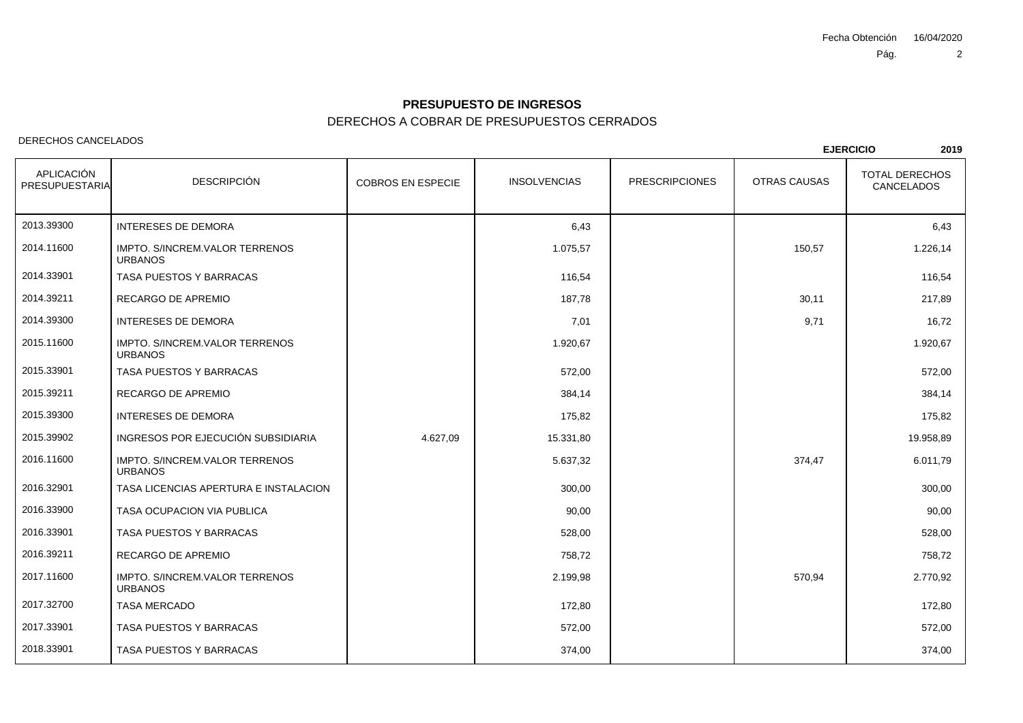# DERECHOS A COBRAR DE PRESUPUESTOS CERRADOS **PRESUPUESTO DE INGRESOS**

### DERECHOS CANCELADOS

| DLNLVI IVƏ VAINVLLADUƏ       |                                                  |                          |                     |                       |                     | <b>EJERCICIO</b><br>2019            |  |
|------------------------------|--------------------------------------------------|--------------------------|---------------------|-----------------------|---------------------|-------------------------------------|--|
| APLICACIÓN<br>PRESUPUESTARIA | <b>DESCRIPCIÓN</b>                               | <b>COBROS EN ESPECIE</b> | <b>INSOLVENCIAS</b> | <b>PRESCRIPCIONES</b> | <b>OTRAS CAUSAS</b> | <b>TOTAL DERECHOS</b><br>CANCELADOS |  |
| 2013.39300                   | <b>INTERESES DE DEMORA</b>                       |                          | 6,43                |                       |                     | 6,43                                |  |
| 2014.11600                   | IMPTO. S/INCREM.VALOR TERRENOS<br><b>URBANOS</b> |                          | 1.075,57            |                       | 150,57              | 1.226,14                            |  |
| 2014.33901                   | TASA PUESTOS Y BARRACAS                          |                          | 116,54              |                       |                     | 116,54                              |  |
| 2014.39211                   | RECARGO DE APREMIO                               |                          | 187,78              |                       | 30,11               | 217,89                              |  |
| 2014.39300                   | <b>INTERESES DE DEMORA</b>                       |                          | 7,01                |                       | 9,71                | 16,72                               |  |
| 2015.11600                   | IMPTO. S/INCREM.VALOR TERRENOS<br><b>URBANOS</b> |                          | 1.920,67            |                       |                     | 1.920,67                            |  |
| 2015.33901                   | TASA PUESTOS Y BARRACAS                          |                          | 572,00              |                       |                     | 572,00                              |  |
| 2015.39211                   | RECARGO DE APREMIO                               |                          | 384,14              |                       |                     | 384,14                              |  |
| 2015.39300                   | <b>INTERESES DE DEMORA</b>                       |                          | 175,82              |                       |                     | 175,82                              |  |
| 2015.39902                   | INGRESOS POR EJECUCIÓN SUBSIDIARIA               | 4.627,09                 | 15.331,80           |                       |                     | 19.958,89                           |  |
| 2016.11600                   | IMPTO. S/INCREM.VALOR TERRENOS<br><b>URBANOS</b> |                          | 5.637,32            |                       | 374,47              | 6.011,79                            |  |
| 2016.32901                   | TASA LICENCIAS APERTURA E INSTALACION            |                          | 300,00              |                       |                     | 300,00                              |  |
| 2016.33900                   | TASA OCUPACION VIA PUBLICA                       |                          | 90,00               |                       |                     | 90.00                               |  |
| 2016.33901                   | TASA PUESTOS Y BARRACAS                          |                          | 528,00              |                       |                     | 528,00                              |  |
| 2016.39211                   | RECARGO DE APREMIO                               |                          | 758,72              |                       |                     | 758,72                              |  |
| 2017.11600                   | IMPTO. S/INCREM.VALOR TERRENOS<br><b>URBANOS</b> |                          | 2.199,98            |                       | 570,94              | 2.770,92                            |  |
| 2017.32700                   | <b>TASA MERCADO</b>                              |                          | 172,80              |                       |                     | 172,80                              |  |
| 2017.33901                   | TASA PUESTOS Y BARRACAS                          |                          | 572,00              |                       |                     | 572,00                              |  |
| 2018.33901                   | TASA PUESTOS Y BARRACAS                          |                          | 374,00              |                       |                     | 374,00                              |  |